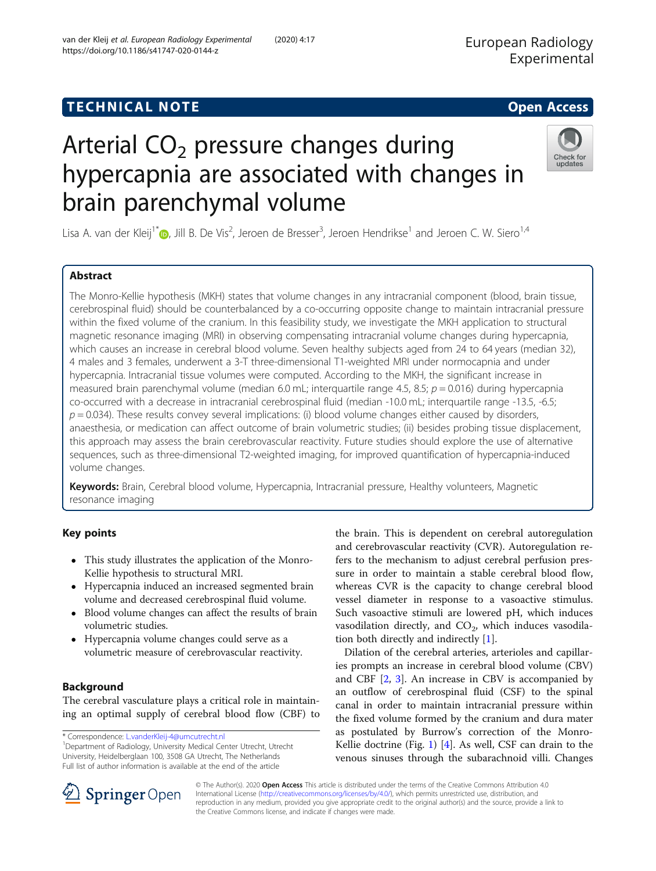# TECHNICAL NOTE And the open Access of the open Access of the open Access of the open Access of the open Access

# Arterial  $CO<sub>2</sub>$  pressure changes during hypercapnia are associated with changes in brain parenchymal volume

Lisa A. van der Kleij<sup>1[\\*](http://orcid.org/0000-0002-5889-3927)</sup>®, Jill B. De Vis<sup>2</sup>, Jeroen de Bresser<sup>3</sup>, Jeroen Hendrikse<sup>1</sup> and Jeroen C. W. Siero<sup>1,4</sup>

# Abstract

The Monro-Kellie hypothesis (MKH) states that volume changes in any intracranial component (blood, brain tissue, cerebrospinal fluid) should be counterbalanced by a co-occurring opposite change to maintain intracranial pressure within the fixed volume of the cranium. In this feasibility study, we investigate the MKH application to structural magnetic resonance imaging (MRI) in observing compensating intracranial volume changes during hypercapnia, which causes an increase in cerebral blood volume. Seven healthy subjects aged from 24 to 64 years (median 32), 4 males and 3 females, underwent a 3-T three-dimensional T1-weighted MRI under normocapnia and under hypercapnia. Intracranial tissue volumes were computed. According to the MKH, the significant increase in measured brain parenchymal volume (median 6.0 mL; interquartile range 4.5, 8.5;  $p = 0.016$ ) during hypercapnia co-occurred with a decrease in intracranial cerebrospinal fluid (median -10.0 mL; interquartile range -13.5, -6.5;  $p = 0.034$ ). These results convey several implications: (i) blood volume changes either caused by disorders, anaesthesia, or medication can affect outcome of brain volumetric studies; (ii) besides probing tissue displacement, this approach may assess the brain cerebrovascular reactivity. Future studies should explore the use of alternative sequences, such as three-dimensional T2-weighted imaging, for improved quantification of hypercapnia-induced volume changes.

Keywords: Brain, Cerebral blood volume, Hypercapnia, Intracranial pressure, Healthy volunteers, Magnetic resonance imaging

# Key points

- This study illustrates the application of the Monro-Kellie hypothesis to structural MRI.
- Hypercapnia induced an increased segmented brain volume and decreased cerebrospinal fluid volume.
- Blood volume changes can affect the results of brain volumetric studies.
- Hypercapnia volume changes could serve as a volumetric measure of cerebrovascular reactivity.

# Background

The cerebral vasculature plays a critical role in maintaining an optimal supply of cerebral blood flow (CBF) to

\* Correspondence: [L.vanderKleij-4@umcutrecht.nl](mailto:L.vanderKleij-4@umcutrecht.nl) <sup>1</sup>

<sup>1</sup>Department of Radiology, University Medical Center Utrecht, Utrecht University, Heidelberglaan 100, 3508 GA Utrecht, The Netherlands Full list of author information is available at the end of the article

the brain. This is dependent on cerebral autoregulation and cerebrovascular reactivity (CVR). Autoregulation refers to the mechanism to adjust cerebral perfusion pressure in order to maintain a stable cerebral blood flow, whereas CVR is the capacity to change cerebral blood vessel diameter in response to a vasoactive stimulus. Such vasoactive stimuli are lowered pH, which induces vasodilation directly, and  $CO<sub>2</sub>$ , which induces vasodilation both directly and indirectly [\[1](#page-5-0)].

Dilation of the cerebral arteries, arterioles and capillaries prompts an increase in cerebral blood volume (CBV) and CBF [\[2](#page-5-0), [3](#page-5-0)]. An increase in CBV is accompanied by an outflow of cerebrospinal fluid (CSF) to the spinal canal in order to maintain intracranial pressure within the fixed volume formed by the cranium and dura mater as postulated by Burrow's correction of the Monro-Kellie doctrine (Fig. [1\)](#page-1-0) [\[4](#page-5-0)]. As well, CSF can drain to the venous sinuses through the subarachnoid villi. Changes

© The Author(s). 2020 Open Access This article is distributed under the terms of the Creative Commons Attribution 4.0 International License ([http://creativecommons.org/licenses/by/4.0/\)](http://creativecommons.org/licenses/by/4.0/), which permits unrestricted use, distribution, and reproduction in any medium, provided you give appropriate credit to the original author(s) and the source, provide a link to the Creative Commons license, and indicate if changes were made.



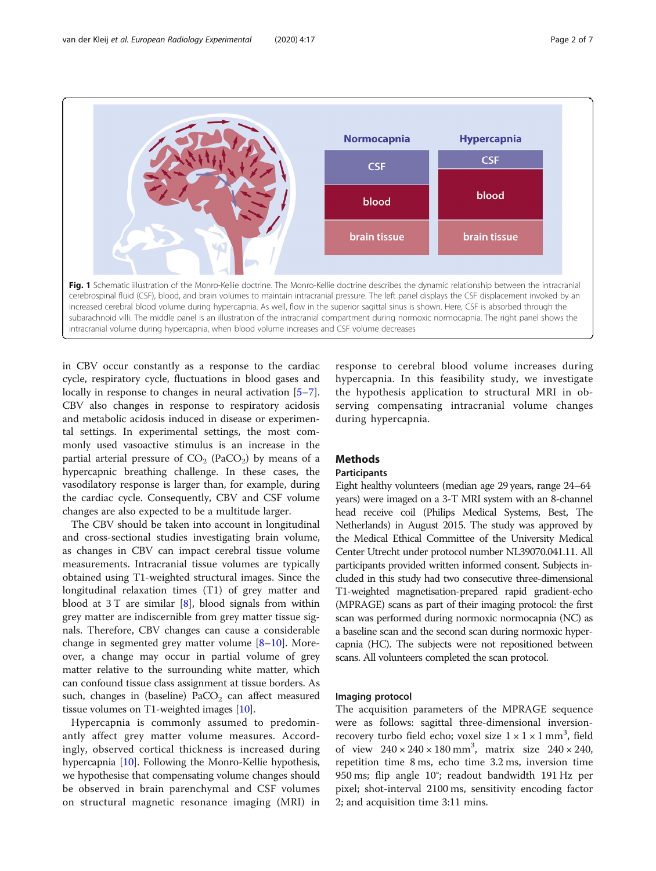<span id="page-1-0"></span>

in CBV occur constantly as a response to the cardiac cycle, respiratory cycle, fluctuations in blood gases and locally in response to changes in neural activation [\[5](#page-5-0)–[7](#page-5-0)]. CBV also changes in response to respiratory acidosis and metabolic acidosis induced in disease or experimental settings. In experimental settings, the most commonly used vasoactive stimulus is an increase in the partial arterial pressure of  $CO<sub>2</sub>$  (PaCO<sub>2</sub>) by means of a hypercapnic breathing challenge. In these cases, the vasodilatory response is larger than, for example, during the cardiac cycle. Consequently, CBV and CSF volume changes are also expected to be a multitude larger.

The CBV should be taken into account in longitudinal and cross-sectional studies investigating brain volume, as changes in CBV can impact cerebral tissue volume measurements. Intracranial tissue volumes are typically obtained using T1-weighted structural images. Since the longitudinal relaxation times (T1) of grey matter and blood at  $3T$  are similar [\[8](#page-5-0)], blood signals from within grey matter are indiscernible from grey matter tissue signals. Therefore, CBV changes can cause a considerable change in segmented grey matter volume [\[8](#page-5-0)–[10\]](#page-5-0). Moreover, a change may occur in partial volume of grey matter relative to the surrounding white matter, which can confound tissue class assignment at tissue borders. As such, changes in (baseline)  $PaCO<sub>2</sub>$  can affect measured tissue volumes on T1-weighted images [\[10\]](#page-5-0).

Hypercapnia is commonly assumed to predominantly affect grey matter volume measures. Accordingly, observed cortical thickness is increased during hypercapnia [[10](#page-5-0)]. Following the Monro-Kellie hypothesis, we hypothesise that compensating volume changes should be observed in brain parenchymal and CSF volumes on structural magnetic resonance imaging (MRI) in

response to cerebral blood volume increases during hypercapnia. In this feasibility study, we investigate the hypothesis application to structural MRI in observing compensating intracranial volume changes during hypercapnia.

# Methods

# **Participants**

Eight healthy volunteers (median age 29 years, range 24–64 years) were imaged on a 3-T MRI system with an 8-channel head receive coil (Philips Medical Systems, Best, The Netherlands) in August 2015. The study was approved by the Medical Ethical Committee of the University Medical Center Utrecht under protocol number NL39070.041.11. All participants provided written informed consent. Subjects included in this study had two consecutive three-dimensional T1-weighted magnetisation-prepared rapid gradient-echo (MPRAGE) scans as part of their imaging protocol: the first scan was performed during normoxic normocapnia (NC) as a baseline scan and the second scan during normoxic hypercapnia (HC). The subjects were not repositioned between scans. All volunteers completed the scan protocol.

## Imaging protocol

The acquisition parameters of the MPRAGE sequence were as follows: sagittal three-dimensional inversionrecovery turbo field echo; voxel size  $1 \times 1 \times 1$  mm<sup>3</sup>, field of view  $240 \times 240 \times 180$  mm<sup>3</sup>, matrix size  $240 \times 240$ , repetition time 8 ms, echo time 3.2 ms, inversion time 950 ms; flip angle 10°; readout bandwidth 191 Hz per pixel; shot-interval 2100 ms, sensitivity encoding factor 2; and acquisition time 3:11 mins.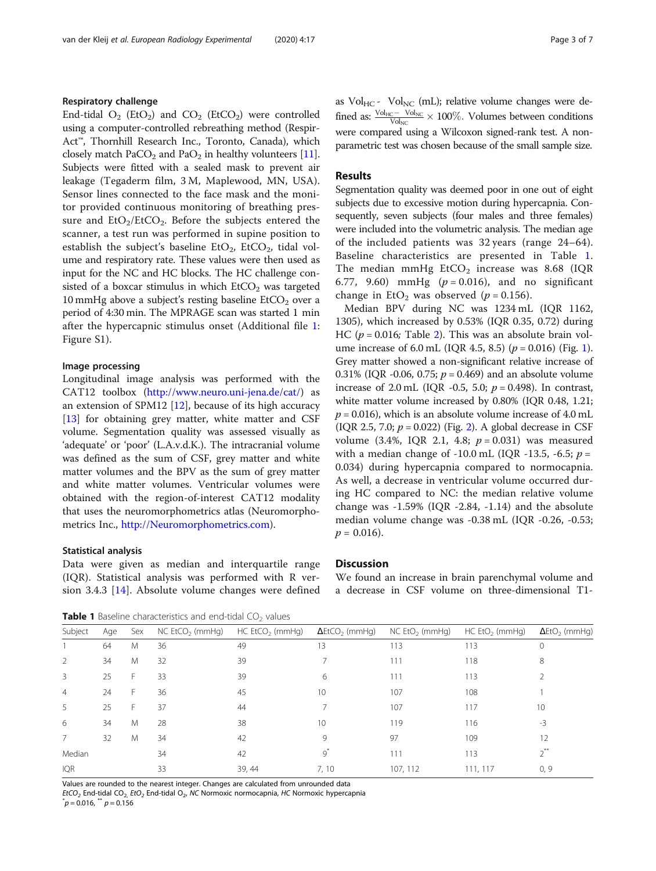# Respiratory challenge

End-tidal  $O_2$  (EtO<sub>2</sub>) and CO<sub>2</sub> (EtCO<sub>2</sub>) were controlled using a computer-controlled rebreathing method (Respir-Act™, Thornhill Research Inc., Toronto, Canada), which closely match PaCO<sub>2</sub> and PaO<sub>2</sub> in healthy volunteers [[11](#page-5-0)]. Subjects were fitted with a sealed mask to prevent air leakage (Tegaderm film, 3 M, Maplewood, MN, USA). Sensor lines connected to the face mask and the monitor provided continuous monitoring of breathing pressure and  $EtO<sub>2</sub>/EtCO<sub>2</sub>$ . Before the subjects entered the scanner, a test run was performed in supine position to establish the subject's baseline  $EtO<sub>2</sub>$ ,  $EtCO<sub>2</sub>$ , tidal volume and respiratory rate. These values were then used as input for the NC and HC blocks. The HC challenge consisted of a boxcar stimulus in which  $ECO<sub>2</sub>$  was targeted 10 mmHg above a subject's resting baseline  $EtCO<sub>2</sub>$  over a period of 4:30 min. The MPRAGE scan was started 1 min after the hypercapnic stimulus onset (Additional file [1](#page-5-0): Figure S1).

# Image processing

Longitudinal image analysis was performed with the CAT12 toolbox [\(http://www.neuro.uni-jena.de/cat/\)](http://www.neuro.uni-jena.de/cat/) as an extension of SPM12 [[12\]](#page-5-0), because of its high accuracy [[13\]](#page-5-0) for obtaining grey matter, white matter and CSF volume. Segmentation quality was assessed visually as 'adequate' or 'poor' (L.A.v.d.K.). The intracranial volume was defined as the sum of CSF, grey matter and white matter volumes and the BPV as the sum of grey matter and white matter volumes. Ventricular volumes were obtained with the region-of-interest CAT12 modality that uses the neuromorphometrics atlas (Neuromorphometrics Inc., [http://Neuromorphometrics.com\)](http://neuromorphometrics.com).

#### Statistical analysis

Data were given as median and interquartile range (IQR). Statistical analysis was performed with R version 3.4.3 [\[14](#page-5-0)]. Absolute volume changes were defined as Vol $_{HC}$  - Vol<sub>NC</sub> (mL); relative volume changes were defined as:  $\frac{V_{\text{O}_{\text{HC}}} - V_{\text{O}_{\text{NC}}}}{V_{\text{O}_{\text{NC}}}} \times 100\%$ . Volumes between conditions were compared using a Wilcoxon signed-rank test. A nonparametric test was chosen because of the small sample size.

# **Results**

Segmentation quality was deemed poor in one out of eight subjects due to excessive motion during hypercapnia. Consequently, seven subjects (four males and three females) were included into the volumetric analysis. The median age of the included patients was 32 years (range 24–64). Baseline characteristics are presented in Table 1. The median mmHg  $EtCO<sub>2</sub>$  increase was 8.68 (IQR 6.77, 9.60) mmHg ( $p = 0.016$ ), and no significant change in  $EtO<sub>2</sub>$  was observed ( $p = 0.156$ ).

Median BPV during NC was 1234 mL (IQR 1162, 1305), which increased by 0.53% (IQR 0.35, 0.72) during HC ( $p = 0.016$ ; Table [2\)](#page-3-0). This was an absolute brain volume increase of 6.0 mL (IQR 4.5, 8.5) ( $p = 0.016$  $p = 0.016$  $p = 0.016$ ) (Fig. 1). Grey matter showed a non-significant relative increase of 0.31% (IQR -0.06, 0.75;  $p = 0.469$ ) and an absolute volume increase of 2.0 mL (IQR -0.5, 5.0;  $p = 0.498$ ). In contrast, white matter volume increased by 0.80% (IQR 0.48, 1.21;  $p = 0.016$ ), which is an absolute volume increase of 4.0 mL (IQR [2](#page-3-0).5, 7.0;  $p = 0.022$ ) (Fig. 2). A global decrease in CSF volume (3.4%, IQR 2.1, 4.8;  $p = 0.031$ ) was measured with a median change of -10.0 mL (IQR -13.5, -6.5;  $p =$ 0.034) during hypercapnia compared to normocapnia. As well, a decrease in ventricular volume occurred during HC compared to NC: the median relative volume change was  $-1.59\%$  (IQR  $-2.84$ ,  $-1.14$ ) and the absolute median volume change was -0.38 mL (IQR -0.26, -0.53;  $p = 0.016$ .

# **Discussion**

We found an increase in brain parenchymal volume and a decrease in CSF volume on three-dimensional T1-

**Table 1** Baseline characteristics and end-tidal  $CO<sub>2</sub>$  values

| Subject        | Age | Sex | NC E <sub>1</sub> CO <sub>2</sub> (mmHg) | $HC EICO2$ (mmHg) | $\Delta E$ t $CO2$ (mmHg) | $NC Eto2$ (mmHg) | $HC Eto2$ (mmHg) | $\Delta$ EtO <sub>2</sub> (mmHq) |
|----------------|-----|-----|------------------------------------------|-------------------|---------------------------|------------------|------------------|----------------------------------|
|                | 64  | Μ   | 36                                       | 49                | 13                        | 113              | 113              | 0                                |
| $\overline{2}$ | 34  | M   | 32                                       | 39                |                           | 111              | 118              | 8                                |
| 3              | 25  | F   | 33                                       | 39                | 6                         | 111              | 113              |                                  |
| $\overline{4}$ | 24  | F.  | 36                                       | 45                | 10                        | 107              | 108              |                                  |
| 5              | 25  | F   | 37                                       | 44                |                           | 107              | 117              | 10                               |
| 6              | 34  | M   | 28                                       | 38                | 10                        | 119              | 116              | -3                               |
| 7              | 32  | M   | 34                                       | 42                | 9                         | 97               | 109              | 12                               |
| Median         |     |     | 34                                       | 42                | $\circ$                   | 111              | 113              | $2^{**}$                         |
| <b>IQR</b>     |     |     | 33                                       | 39, 44            | 7, 10                     | 107, 112         | 111.117          | 0, 9                             |

Values are rounded to the nearest integer. Changes are calculated from unrounded data

EtCO<sub>2</sub> End-tidal CO<sub>2,</sub> EtO<sub>2</sub> End-tidal O<sub>2</sub>, NC Normoxic normocapnia, HC Normoxic hypercapnia  $p^*$ p = 0.016,  $p^*$  p = 0.156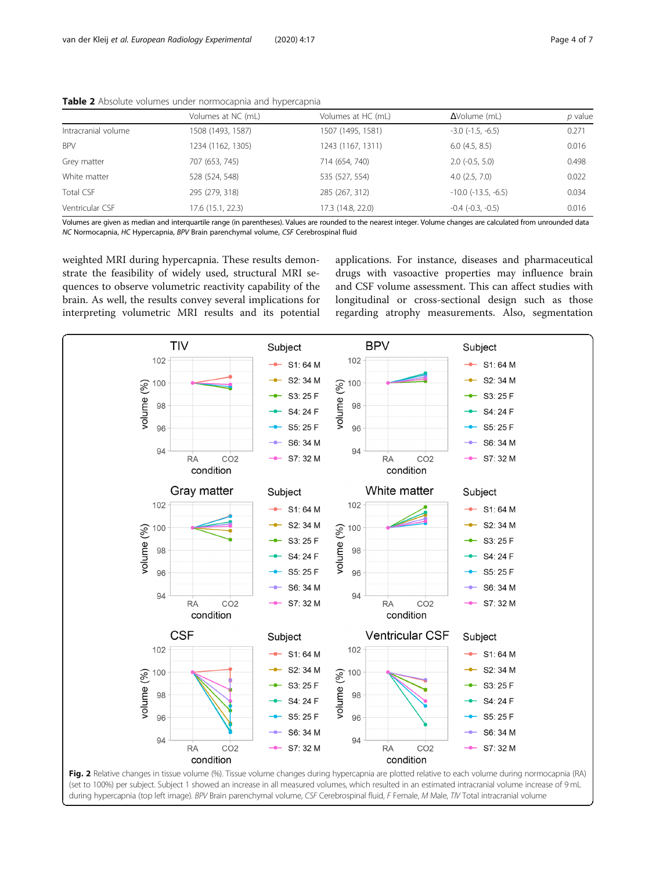|                     | Volumes at NC (mL) | Volumes at HC (mL) | $\Delta$ Volume (mL)         | p value |
|---------------------|--------------------|--------------------|------------------------------|---------|
| Intracranial volume | 1508 (1493, 1587)  | 1507 (1495, 1581)  | $-3.0$ $(-1.5, -6.5)$        | 0.271   |
| <b>BPV</b>          | 1234 (1162, 1305)  | 1243 (1167, 1311)  | 6.0(4.5, 8.5)                | 0.016   |
| Grey matter         | 707 (653, 745)     | 714 (654, 740)     | $2.0$ ( $-0.5$ , $5.0$ )     | 0.498   |
| White matter        | 528 (524, 548)     | 535 (527, 554)     | 4.0(2.5, 7.0)                | 0.022   |
| Total CSF           | 295 (279, 318)     | 285 (267, 312)     | $-10.0$ ( $-13.5$ , $-6.5$ ) | 0.034   |
| Ventricular CSF     | 17.6 (15.1, 22.3)  | 17.3 (14.8, 22.0)  | $-0.4$ $(-0.3, -0.5)$        | 0.016   |

<span id="page-3-0"></span>

|  |  |  |  | Table 2 Absolute volumes under normocapnia and hypercapnia |  |  |  |
|--|--|--|--|------------------------------------------------------------|--|--|--|
|--|--|--|--|------------------------------------------------------------|--|--|--|

Volumes are given as median and interquartile range (in parentheses). Values are rounded to the nearest integer. Volume changes are calculated from unrounded data NC Normocapnia, HC Hypercapnia, BPV Brain parenchymal volume, CSF Cerebrospinal fluid

weighted MRI during hypercapnia. These results demonstrate the feasibility of widely used, structural MRI sequences to observe volumetric reactivity capability of the brain. As well, the results convey several implications for interpreting volumetric MRI results and its potential

applications. For instance, diseases and pharmaceutical drugs with vasoactive properties may influence brain and CSF volume assessment. This can affect studies with longitudinal or cross-sectional design such as those regarding atrophy measurements. Also, segmentation



(set to 100%) per subject. Subject 1 showed an increase in all measured volumes, which resulted in an estimated intracranial volume increase of 9 mL during hypercapnia (top left image). BPV Brain parenchymal volume, CSF Cerebrospinal fluid, F Female, M Male, TIV Total intracranial volume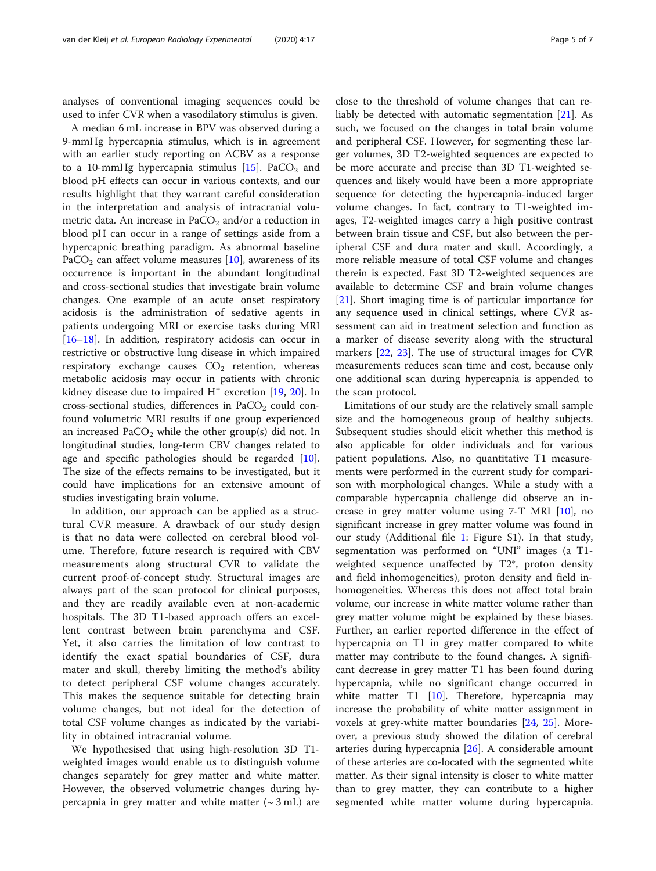analyses of conventional imaging sequences could be used to infer CVR when a vasodilatory stimulus is given.

A median 6 mL increase in BPV was observed during a 9-mmHg hypercapnia stimulus, which is in agreement with an earlier study reporting on ΔCBV as a response to a 10-mmHg hypercapnia stimulus  $[15]$  $[15]$ . PaCO<sub>2</sub> and blood pH effects can occur in various contexts, and our results highlight that they warrant careful consideration in the interpretation and analysis of intracranial volumetric data. An increase in  $PaCO<sub>2</sub>$  and/or a reduction in blood pH can occur in a range of settings aside from a hypercapnic breathing paradigm. As abnormal baseline PaCO<sub>2</sub> can affect volume measures [[10](#page-5-0)], awareness of its occurrence is important in the abundant longitudinal and cross-sectional studies that investigate brain volume changes. One example of an acute onset respiratory acidosis is the administration of sedative agents in patients undergoing MRI or exercise tasks during MRI [[16](#page-5-0)–[18](#page-5-0)]. In addition, respiratory acidosis can occur in restrictive or obstructive lung disease in which impaired respiratory exchange causes  $CO<sub>2</sub>$  retention, whereas metabolic acidosis may occur in patients with chronic kidney disease due to impaired  $H^+$  excretion [\[19,](#page-5-0) [20](#page-5-0)]. In cross-sectional studies, differences in  $PaCO<sub>2</sub>$  could confound volumetric MRI results if one group experienced an increased PaCO<sub>2</sub> while the other group(s) did not. In longitudinal studies, long-term CBV changes related to age and specific pathologies should be regarded [\[10](#page-5-0)]. The size of the effects remains to be investigated, but it could have implications for an extensive amount of studies investigating brain volume.

In addition, our approach can be applied as a structural CVR measure. A drawback of our study design is that no data were collected on cerebral blood volume. Therefore, future research is required with CBV measurements along structural CVR to validate the current proof-of-concept study. Structural images are always part of the scan protocol for clinical purposes, and they are readily available even at non-academic hospitals. The 3D T1-based approach offers an excellent contrast between brain parenchyma and CSF. Yet, it also carries the limitation of low contrast to identify the exact spatial boundaries of CSF, dura mater and skull, thereby limiting the method's ability to detect peripheral CSF volume changes accurately. This makes the sequence suitable for detecting brain volume changes, but not ideal for the detection of total CSF volume changes as indicated by the variability in obtained intracranial volume.

We hypothesised that using high-resolution 3D T1 weighted images would enable us to distinguish volume changes separately for grey matter and white matter. However, the observed volumetric changes during hypercapnia in grey matter and white matter  $({\sim}3 \text{ mL})$  are

close to the threshold of volume changes that can reliably be detected with automatic segmentation [[21\]](#page-5-0). As such, we focused on the changes in total brain volume and peripheral CSF. However, for segmenting these larger volumes, 3D T2-weighted sequences are expected to be more accurate and precise than 3D T1-weighted sequences and likely would have been a more appropriate sequence for detecting the hypercapnia-induced larger volume changes. In fact, contrary to T1-weighted images, T2-weighted images carry a high positive contrast between brain tissue and CSF, but also between the peripheral CSF and dura mater and skull. Accordingly, a more reliable measure of total CSF volume and changes therein is expected. Fast 3D T2-weighted sequences are available to determine CSF and brain volume changes [[21\]](#page-5-0). Short imaging time is of particular importance for any sequence used in clinical settings, where CVR assessment can aid in treatment selection and function as a marker of disease severity along with the structural markers [[22,](#page-5-0) [23](#page-5-0)]. The use of structural images for CVR measurements reduces scan time and cost, because only one additional scan during hypercapnia is appended to the scan protocol.

Limitations of our study are the relatively small sample size and the homogeneous group of healthy subjects. Subsequent studies should elicit whether this method is also applicable for older individuals and for various patient populations. Also, no quantitative T1 measurements were performed in the current study for comparison with morphological changes. While a study with a comparable hypercapnia challenge did observe an increase in grey matter volume using  $7-\text{T}$  MRI  $[10]$  $[10]$ , no significant increase in grey matter volume was found in our study (Additional file [1](#page-5-0): Figure S1). In that study, segmentation was performed on "UNI" images (a T1 weighted sequence unaffected by T2\*, proton density and field inhomogeneities), proton density and field inhomogeneities. Whereas this does not affect total brain volume, our increase in white matter volume rather than grey matter volume might be explained by these biases. Further, an earlier reported difference in the effect of hypercapnia on T1 in grey matter compared to white matter may contribute to the found changes. A significant decrease in grey matter T1 has been found during hypercapnia, while no significant change occurred in white matter T1 [[10](#page-5-0)]. Therefore, hypercapnia may increase the probability of white matter assignment in voxels at grey-white matter boundaries [\[24,](#page-6-0) [25](#page-6-0)]. Moreover, a previous study showed the dilation of cerebral arteries during hypercapnia [\[26\]](#page-6-0). A considerable amount of these arteries are co-located with the segmented white matter. As their signal intensity is closer to white matter than to grey matter, they can contribute to a higher segmented white matter volume during hypercapnia.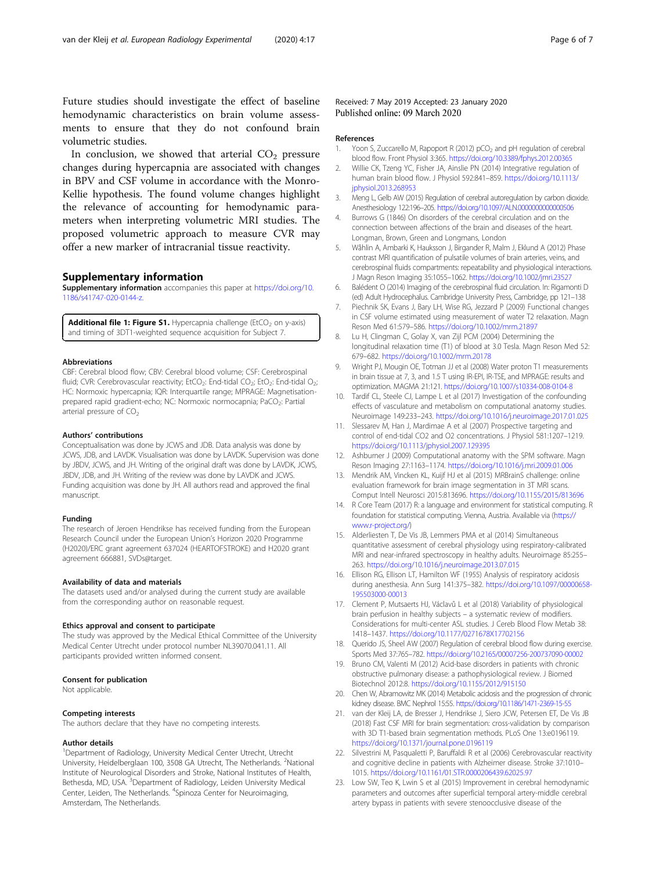<span id="page-5-0"></span>Future studies should investigate the effect of baseline hemodynamic characteristics on brain volume assessments to ensure that they do not confound brain volumetric studies.

In conclusion, we showed that arterial  $CO<sub>2</sub>$  pressure changes during hypercapnia are associated with changes in BPV and CSF volume in accordance with the Monro-Kellie hypothesis. The found volume changes highlight the relevance of accounting for hemodynamic parameters when interpreting volumetric MRI studies. The proposed volumetric approach to measure CVR may offer a new marker of intracranial tissue reactivity.

#### Supplementary information

Supplementary information accompanies this paper at [https://doi.org/10.](https://doi.org/10.1186/s41747-020-0144-z) [1186/s41747-020-0144-z](https://doi.org/10.1186/s41747-020-0144-z).

**Additional file 1: Figure S1.** Hypercapnia challenge (EtCO<sub>2</sub> on y-axis) and timing of 3DT1-weighted sequence acquisition for Subject 7.

#### Abbreviations

CBF: Cerebral blood flow; CBV: Cerebral blood volume; CSF: Cerebrospinal fluid; CVR: Cerebrovascular reactivity; EtCO<sub>2</sub>: End-tidal CO<sub>2</sub>; EtO<sub>2</sub>: End-tidal O<sub>2</sub>; HC: Normoxic hypercapnia; IQR: Interquartile range; MPRAGE: Magnetisationprepared rapid gradient-echo; NC: Normoxic normocapnia; PaCO<sub>2</sub>: Partial arterial pressure of  $CO<sub>2</sub>$ 

#### Authors' contributions

Conceptualisation was done by JCWS and JDB. Data analysis was done by JCWS, JDB, and LAVDK. Visualisation was done by LAVDK. Supervision was done by JBDV, JCWS, and JH. Writing of the original draft was done by LAVDK, JCWS, JBDV, JDB, and JH. Writing of the review was done by LAVDK and JCWS. Funding acquisition was done by JH. All authors read and approved the final manuscript.

#### Funding

The research of Jeroen Hendrikse has received funding from the European Research Council under the European Union's Horizon 2020 Programme (H2020)/ERC grant agreement 637024 (HEARTOFSTROKE) and H2020 grant agreement 666881, SVDs@target.

#### Availability of data and materials

The datasets used and/or analysed during the current study are available from the corresponding author on reasonable request.

#### Ethics approval and consent to participate

The study was approved by the Medical Ethical Committee of the University Medical Center Utrecht under protocol number NL39070.041.11. All participants provided written informed consent.

## Consent for publication

Not applicable.

#### Competing interests

The authors declare that they have no competing interests.

### Author details

<sup>1</sup>Department of Radiology, University Medical Center Utrecht, Utrecht University, Heidelberglaan 100, 3508 GA Utrecht, The Netherlands. <sup>2</sup>National Institute of Neurological Disorders and Stroke, National Institutes of Health, Bethesda, MD, USA.<sup>3</sup> Department of Radiology, Leiden University Medical Center, Leiden, The Netherlands. <sup>4</sup>Spinoza Center for Neuroimaging, Amsterdam, The Netherlands.

Received: 7 May 2019 Accepted: 23 January 2020 Published online: 09 March 2020

#### References

- 1. Yoon S, Zuccarello M, Rapoport R (2012) pCO<sub>2</sub> and pH regulation of cerebral blood flow. Front Physiol 3:365. <https://doi.org/10.3389/fphys.2012.00365>
- 2. Willie CK, Tzeng YC, Fisher JA, Ainslie PN (2014) Integrative regulation of human brain blood flow. J Physiol 592:841–859. [https://doi.org/10.1113/](https://doi.org/10.1113/jphysiol.2013.268953) [jphysiol.2013.268953](https://doi.org/10.1113/jphysiol.2013.268953)
- 3. Meng L, Gelb AW (2015) Regulation of cerebral autoregulation by carbon dioxide. Anesthesiology 122:196–205. <https://doi.org/10.1097/ALN.0000000000000506>
- 4. Burrows G (1846) On disorders of the cerebral circulation and on the connection between affections of the brain and diseases of the heart. Longman, Brown, Green and Longmans, London
- 5. Wåhlin A, Ambarki K, Hauksson J, Birgander R, Malm J, Eklund A (2012) Phase contrast MRI quantification of pulsatile volumes of brain arteries, veins, and cerebrospinal fluids compartments: repeatability and physiological interactions. J Magn Reson Imaging 35:1055–1062. <https://doi.org/10.1002/jmri.23527>
- 6. Balédent O (2014) Imaging of the cerebrospinal fluid circulation. In: Rigamonti D (ed) Adult Hydrocephalus. Cambridge University Press, Cambridge, pp 121–138
- 7. Piechnik SK, Evans J, Bary LH, Wise RG, Jezzard P (2009) Functional changes in CSF volume estimated using measurement of water T2 relaxation. Magn Reson Med 61:579–586. <https://doi.org/10.1002/mrm.21897>
- 8. Lu H, Clingman C, Golay X, van Zijl PCM (2004) Determining the longitudinal relaxation time (T1) of blood at 3.0 Tesla. Magn Reson Med 52: 679–682. <https://doi.org/10.1002/mrm.20178>
- 9. Wright PJ, Mougin OE, Totman JJ et al (2008) Water proton T1 measurements in brain tissue at 7, 3, and 1.5 T using IR-EPI, IR-TSE, and MPRAGE: results and optimization. MAGMA 21:121. <https://doi.org/10.1007/s10334-008-0104-8>
- 10. Tardif CL, Steele CJ, Lampe L et al (2017) Investigation of the confounding effects of vasculature and metabolism on computational anatomy studies. Neuroimage 149:233–243. <https://doi.org/10.1016/j.neuroimage.2017.01.025>
- 11. Slessarev M, Han J, Mardimae A et al (2007) Prospective targeting and control of end-tidal CO2 and O2 concentrations. J Physiol 581:1207–1219. <https://doi.org/10.1113/jphysiol.2007.129395>
- 12. Ashburner J (2009) Computational anatomy with the SPM software. Magn Reson Imaging 27:1163–1174. <https://doi.org/10.1016/j.mri.2009.01.006>
- 13. Mendrik AM, Vincken KL, Kuijf HJ et al (2015) MRBrainS challenge: online evaluation framework for brain image segmentation in 3T MRI scans. Comput Intell Neurosci 2015:813696. <https://doi.org/10.1155/2015/813696>
- 14. R Core Team (2017) R: a language and environment for statistical computing. R foundation for statistical computing. Vienna, Austria. Available via [\(https://](https://www.r-project.org/) [www.r-project.org/](https://www.r-project.org/))
- 15. Alderliesten T, De Vis JB, Lemmers PMA et al (2014) Simultaneous quantitative assessment of cerebral physiology using respiratory-calibrated MRI and near-infrared spectroscopy in healthy adults. Neuroimage 85:255– 263. <https://doi.org/10.1016/j.neuroimage.2013.07.015>
- 16. Ellison RG, Ellison LT, Hamilton WF (1955) Analysis of respiratory acidosis during anesthesia. Ann Surg 141:375–382. [https://doi.org/10.1097/00000658-](https://doi.org/10.1097/00000658-195503000-00013) [195503000-00013](https://doi.org/10.1097/00000658-195503000-00013)
- 17. Clement P, Mutsaerts HJ, Václavů L et al (2018) Variability of physiological brain perfusion in healthy subjects – a systematic review of modifiers. Considerations for multi-center ASL studies. J Cereb Blood Flow Metab 38: 1418–1437. <https://doi.org/10.1177/0271678X17702156>
- 18. Querido JS, Sheel AW (2007) Regulation of cerebral blood flow during exercise. Sports Med 37:765–782. <https://doi.org/10.2165/00007256-200737090-00002>
- 19. Bruno CM, Valenti M (2012) Acid-base disorders in patients with chronic obstructive pulmonary disease: a pathophysiological review. J Biomed Biotechnol 2012:8. <https://doi.org/10.1155/2012/915150>
- 20. Chen W, Abramowitz MK (2014) Metabolic acidosis and the progression of chronic kidney disease. BMC Nephrol 15:55. <https://doi.org/10.1186/1471-2369-15-55>
- 21. van der Kleij LA, de Bresser J, Hendrikse J, Siero JCW, Petersen ET, De Vis JB (2018) Fast CSF MRI for brain segmentation: cross-validation by comparison with 3D T1-based brain segmentation methods. PLoS One 13:e0196119. <https://doi.org/10.1371/journal.pone.0196119>
- 22. Silvestrini M, Pasqualetti P, Baruffaldi R et al (2006) Cerebrovascular reactivity and cognitive decline in patients with Alzheimer disease. Stroke 37:1010– 1015. <https://doi.org/10.1161/01.STR.0000206439.62025.97>
- 23. Low SW, Teo K, Lwin S et al (2015) Improvement in cerebral hemodynamic parameters and outcomes after superficial temporal artery-middle cerebral artery bypass in patients with severe stenoocclusive disease of the